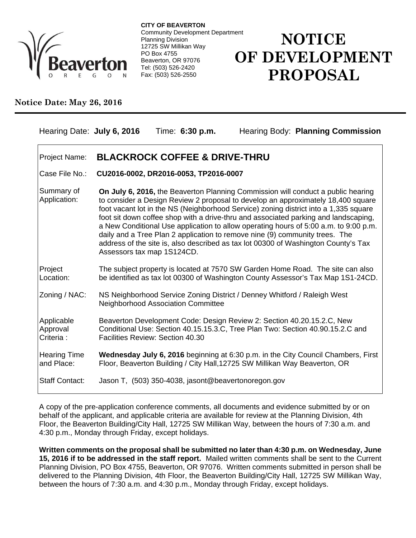

**CITY OF BEAVERTON** Community Development Department Planning Division 12725 SW Millikan Way PO Box 4755 Beaverton, OR 97076 Tel: (503) 526-2420 Fax: (503) 526-2550

## **NOTICE OF DEVELOPMENT PROPOSAL**

## **Notice Date: May 26, 2016**

| Hearing Date: July 6, 2016           | Hearing Body: Planning Commission<br>Time: 6:30 p.m.                                                                                                                                                                                                                                                                                                                                                                                                                                                                                                                                                                                           |
|--------------------------------------|------------------------------------------------------------------------------------------------------------------------------------------------------------------------------------------------------------------------------------------------------------------------------------------------------------------------------------------------------------------------------------------------------------------------------------------------------------------------------------------------------------------------------------------------------------------------------------------------------------------------------------------------|
| Project Name:                        | <b>BLACKROCK COFFEE &amp; DRIVE-THRU</b>                                                                                                                                                                                                                                                                                                                                                                                                                                                                                                                                                                                                       |
| Case File No.:                       | CU2016-0002, DR2016-0053, TP2016-0007                                                                                                                                                                                                                                                                                                                                                                                                                                                                                                                                                                                                          |
| Summary of<br>Application:           | On July 6, 2016, the Beaverton Planning Commission will conduct a public hearing<br>to consider a Design Review 2 proposal to develop an approximately 18,400 square<br>foot vacant lot in the NS (Neighborhood Service) zoning district into a 1,335 square<br>foot sit down coffee shop with a drive-thru and associated parking and landscaping,<br>a New Conditional Use application to allow operating hours of 5:00 a.m. to 9:00 p.m.<br>daily and a Tree Plan 2 application to remove nine (9) community trees. The<br>address of the site is, also described as tax lot 00300 of Washington County's Tax<br>Assessors tax map 1S124CD. |
| Project<br>Location:                 | The subject property is located at 7570 SW Garden Home Road. The site can also<br>be identified as tax lot 00300 of Washington County Assessor's Tax Map 1S1-24CD.                                                                                                                                                                                                                                                                                                                                                                                                                                                                             |
| Zoning / NAC:                        | NS Neighborhood Service Zoning District / Denney Whitford / Raleigh West<br><b>Neighborhood Association Committee</b>                                                                                                                                                                                                                                                                                                                                                                                                                                                                                                                          |
| Applicable<br>Approval<br>Criteria : | Beaverton Development Code: Design Review 2: Section 40.20.15.2.C, New<br>Conditional Use: Section 40.15.15.3.C, Tree Plan Two: Section 40.90.15.2.C and<br>Facilities Review: Section 40.30                                                                                                                                                                                                                                                                                                                                                                                                                                                   |
| <b>Hearing Time</b><br>and Place:    | Wednesday July 6, 2016 beginning at 6:30 p.m. in the City Council Chambers, First<br>Floor, Beaverton Building / City Hall, 12725 SW Millikan Way Beaverton, OR                                                                                                                                                                                                                                                                                                                                                                                                                                                                                |
| <b>Staff Contact:</b>                | Jason T, (503) 350-4038, jasont@beavertonoregon.gov                                                                                                                                                                                                                                                                                                                                                                                                                                                                                                                                                                                            |

A copy of the pre-application conference comments, all documents and evidence submitted by or on behalf of the applicant, and applicable criteria are available for review at the Planning Division, 4th Floor, the Beaverton Building/City Hall, 12725 SW Millikan Way, between the hours of 7:30 a.m. and 4:30 p.m., Monday through Friday, except holidays.

**Written comments on the proposal shall be submitted no later than 4:30 p.m. on Wednesday, June 15, 2016 if to be addressed in the staff report.** Mailed written comments shall be sent to the Current Planning Division, PO Box 4755, Beaverton, OR 97076. Written comments submitted in person shall be delivered to the Planning Division, 4th Floor, the Beaverton Building/City Hall, 12725 SW Millikan Way, between the hours of 7:30 a.m. and 4:30 p.m., Monday through Friday, except holidays.